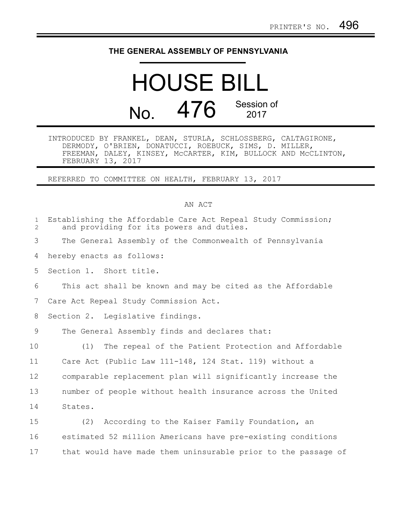## **THE GENERAL ASSEMBLY OF PENNSYLVANIA**

## HOUSE BILL No. 476 Session of

INTRODUCED BY FRANKEL, DEAN, STURLA, SCHLOSSBERG, CALTAGIRONE, DERMODY, O'BRIEN, DONATUCCI, ROEBUCK, SIMS, D. MILLER, FREEMAN, DALEY, KINSEY, McCARTER, KIM, BULLOCK AND McCLINTON, FEBRUARY 13, 2017

REFERRED TO COMMITTEE ON HEALTH, FEBRUARY 13, 2017

## AN ACT

| $\mathbf 1$<br>$\overline{2}$ | Establishing the Affordable Care Act Repeal Study Commission;<br>and providing for its powers and duties. |
|-------------------------------|-----------------------------------------------------------------------------------------------------------|
| 3                             | The General Assembly of the Commonwealth of Pennsylvania                                                  |
| 4                             | hereby enacts as follows:                                                                                 |
| 5                             | Section 1. Short title.                                                                                   |
| 6                             | This act shall be known and may be cited as the Affordable                                                |
| 7                             | Care Act Repeal Study Commission Act.                                                                     |
| 8                             | Section 2. Legislative findings.                                                                          |
| 9                             | The General Assembly finds and declares that:                                                             |
| 10                            | The repeal of the Patient Protection and Affordable<br>(1)                                                |
| 11                            | Care Act (Public Law 111-148, 124 Stat. 119) without a                                                    |
| 12                            | comparable replacement plan will significantly increase the                                               |
| 13                            | number of people without health insurance across the United                                               |
| 14                            | States.                                                                                                   |
| 15                            | (2) According to the Kaiser Family Foundation, an                                                         |
| 16                            | estimated 52 million Americans have pre-existing conditions                                               |

that would have made them uninsurable prior to the passage of 17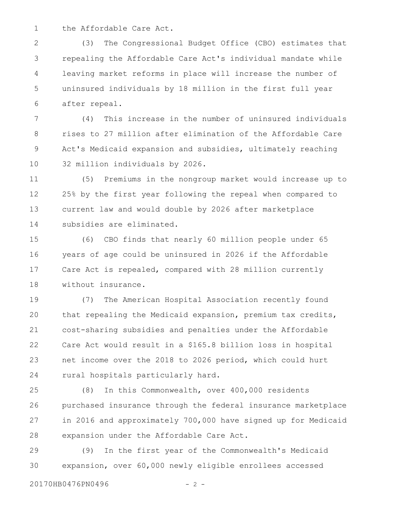the Affordable Care Act. 1

(3) The Congressional Budget Office (CBO) estimates that repealing the Affordable Care Act's individual mandate while leaving market reforms in place will increase the number of uninsured individuals by 18 million in the first full year after repeal. 2 3 4 5 6

(4) This increase in the number of uninsured individuals rises to 27 million after elimination of the Affordable Care Act's Medicaid expansion and subsidies, ultimately reaching 32 million individuals by 2026. 7 8 9 10

(5) Premiums in the nongroup market would increase up to 25% by the first year following the repeal when compared to current law and would double by 2026 after marketplace subsidies are eliminated. 11 12 13 14

(6) CBO finds that nearly 60 million people under 65 years of age could be uninsured in 2026 if the Affordable Care Act is repealed, compared with 28 million currently without insurance. 15 16 17 18

(7) The American Hospital Association recently found that repealing the Medicaid expansion, premium tax credits, cost-sharing subsidies and penalties under the Affordable Care Act would result in a \$165.8 billion loss in hospital net income over the 2018 to 2026 period, which could hurt rural hospitals particularly hard. 19 20 21 22 23 24

(8) In this Commonwealth, over 400,000 residents purchased insurance through the federal insurance marketplace in 2016 and approximately 700,000 have signed up for Medicaid expansion under the Affordable Care Act. 25 26 27 28

(9) In the first year of the Commonwealth's Medicaid expansion, over 60,000 newly eligible enrollees accessed 29 30

20170HB0476PN0496 - 2 -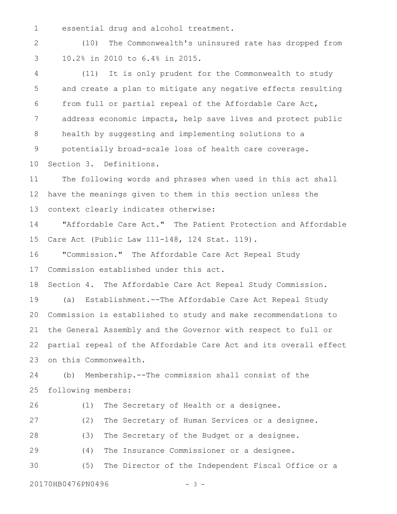essential drug and alcohol treatment. 1

(10) The Commonwealth's uninsured rate has dropped from 10.2% in 2010 to 6.4% in 2015. 2 3

(11) It is only prudent for the Commonwealth to study and create a plan to mitigate any negative effects resulting from full or partial repeal of the Affordable Care Act, address economic impacts, help save lives and protect public health by suggesting and implementing solutions to a potentially broad-scale loss of health care coverage. Section 3. Definitions. 4 5 6 7 8 9 10

The following words and phrases when used in this act shall have the meanings given to them in this section unless the context clearly indicates otherwise: 11 12 13

"Affordable Care Act." The Patient Protection and Affordable Care Act (Public Law 111-148, 124 Stat. 119). 14 15

"Commission." The Affordable Care Act Repeal Study Commission established under this act. 16 17

Section 4. The Affordable Care Act Repeal Study Commission. 18

(a) Establishment.--The Affordable Care Act Repeal Study Commission is established to study and make recommendations to the General Assembly and the Governor with respect to full or partial repeal of the Affordable Care Act and its overall effect on this Commonwealth. 19 20 21 22 23

(b) Membership.--The commission shall consist of the following members: 24 25

(1) The Secretary of Health or a designee. 26

(2) The Secretary of Human Services or a designee. (3) The Secretary of the Budget or a designee. 27 28

(4) The Insurance Commissioner or a designee. 29

(5) The Director of the Independent Fiscal Office or a 30

20170HB0476PN0496 - 3 -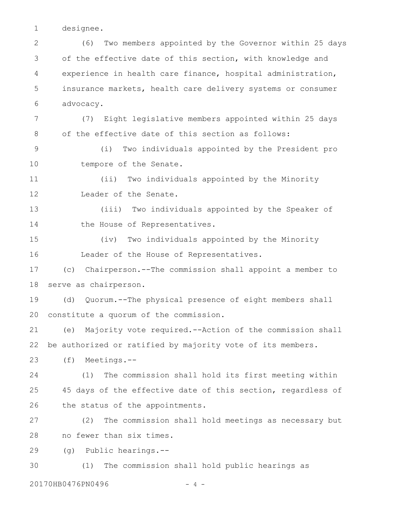designee. 1

(6) Two members appointed by the Governor within 25 days of the effective date of this section, with knowledge and experience in health care finance, hospital administration, insurance markets, health care delivery systems or consumer advocacy. (7) Eight legislative members appointed within 25 days of the effective date of this section as follows: (i) Two individuals appointed by the President pro tempore of the Senate. (ii) Two individuals appointed by the Minority Leader of the Senate. (iii) Two individuals appointed by the Speaker of the House of Representatives. (iv) Two individuals appointed by the Minority Leader of the House of Representatives. (c) Chairperson.--The commission shall appoint a member to serve as chairperson. (d) Quorum.--The physical presence of eight members shall constitute a quorum of the commission. (e) Majority vote required.--Action of the commission shall be authorized or ratified by majority vote of its members. (f) Meetings.-- (1) The commission shall hold its first meeting within 45 days of the effective date of this section, regardless of the status of the appointments. (2) The commission shall hold meetings as necessary but no fewer than six times. (g) Public hearings.-- (1) The commission shall hold public hearings as 2 3 4 5 6 7 8 9 10 11 12 13 14 15 16 17 18 19 20 21 22 23 24 25 26 27 28 29 30

20170HB0476PN0496 - 4 -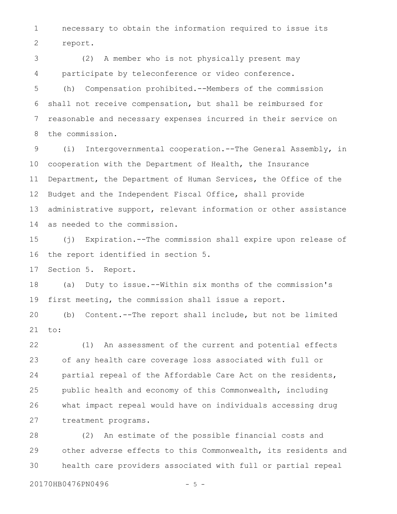necessary to obtain the information required to issue its report. 1 2

(2) A member who is not physically present may participate by teleconference or video conference. 3 4

(h) Compensation prohibited.--Members of the commission shall not receive compensation, but shall be reimbursed for reasonable and necessary expenses incurred in their service on the commission. 5 6 7 8

(i) Intergovernmental cooperation.--The General Assembly, in cooperation with the Department of Health, the Insurance Department, the Department of Human Services, the Office of the Budget and the Independent Fiscal Office, shall provide administrative support, relevant information or other assistance as needed to the commission. 9 10 11 12 13 14

(j) Expiration.--The commission shall expire upon release of the report identified in section 5. 15 16

Section 5. Report. 17

(a) Duty to issue.--Within six months of the commission's first meeting, the commission shall issue a report. 18 19

(b) Content.--The report shall include, but not be limited to: 20 21

(1) An assessment of the current and potential effects of any health care coverage loss associated with full or partial repeal of the Affordable Care Act on the residents, public health and economy of this Commonwealth, including what impact repeal would have on individuals accessing drug treatment programs. 22 23 24 25 26 27

(2) An estimate of the possible financial costs and other adverse effects to this Commonwealth, its residents and health care providers associated with full or partial repeal 28 29 30